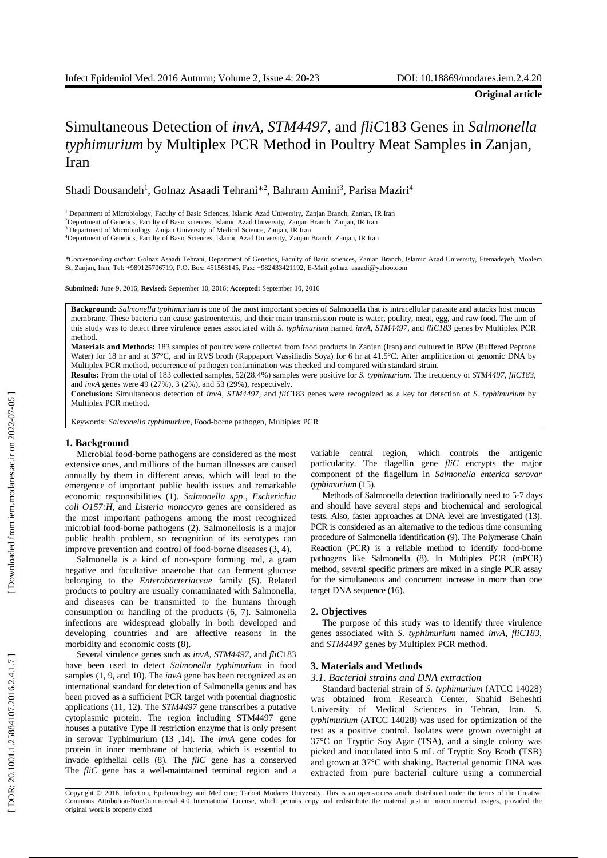# Simultaneous Detection of *invA, STM4497,* and *fliC*183 Genes in *Salmonella typhimurium* by Multiplex PCR Method in Poultry Meat Samples in Zanjan, Iran

Shadi Dousandeh<sup>1</sup>, Golnaz Asaadi Tehrani<sup>\*2</sup>, Bahram Amini<sup>3</sup>, Parisa Maziri<sup>4</sup>

<sup>1</sup> Department of Microbiology, Faculty of Basic Sciences, Islamic Azad University, Zanjan Branch, Zanjan, IR Iran

<sup>2</sup>Department of Genetics, Faculty of Basic sciences, Islamic Azad University, Zanjan Branch, Zanjan, IR Iran

<sup>3</sup> Department of Microbiology, Zanjan University of Medical Science, Zanjan, IR Iran

<sup>4</sup>Department of Genetics, Faculty of Basic Sciences, Islamic Azad University, Zanjan Branch, Zanjan, IR Iran

*\*Corresponding author:* Golnaz Asaadi Tehrani, Department of Genetics, Faculty of Basic sciences, Zanjan Branch, Islamic Azad University, Etemadeyeh, Moalem St, Zanjan, Iran, Tel: +989125706719, P.O. Box: 451568145, Fax: +982433421192, E -Mail:golnaz\_asaadi@yahoo.com

**Submitted:** June 9, 2016; **Revised:** September 10, 2016; **Accepted:** September 10, 2016

Background: Salmonella typhimurium is one of the most important species of Salmonella that is intracellular parasite and attacks host mucus membrane. These bacteria can cause gastroenteritis , and their main transmission route is water, poultry, meat, egg , and raw food. The aim of this study was to detect three virulence genes associated with *S. typhimurium* named *invA*, *STM4497,* and *fliC183* genes by Multiplex PCR method .

**Materials and Methods:** 183 samples of poultry were collected from food products in Zanjan (Iran) and cultured in BPW (Buffered Peptone Water) for 18 hr and at 37°C, and in RVS broth (Rappaport Vassiliadis Soya) for 6 hr at 41.5°C. After amplification of genomic DNA by Multiplex PCR method, occurrence of pathogen contamination was checked and compared with standard strain.

**Results:** From the total of 183 collected samples, 52(28.4%) samples were positive for *S. typhimurium*. The frequency of *STM4497*, *fliC183*, and *invA* genes were 49 (27%), 3 (2%), and 53 (29%), respectively.

**Conclusion:** Simultaneous detection of *invA, STM4497,* and *fliC*183 genes were recognized as a key for detection of *S . typhimurium* by Multiplex PCR method.

Keywords: *Salmonella typhimurium*, Food -borne pathogen, Multiplex PCR

#### **1. Background**

Microbial food -borne pathogens are considered as the most extensive ones , and millions of the human illnesses are caused annually by them in different areas , which will lead to the emergence of important public health issues and remarkable economic responsibilities (1) . *Salmonella spp*., *Escherichia coli O157:H*, and *Listeria monocyto* genes are considered as the most important pathogens among the most recognized microbial food -borne pathogens ( 2). Salmonellosis is a major public health problem , so recognition of its serotypes can improve prevention and control of food -borne diseases (3 , 4).

Salmonella is a kind of non -spore forming rod, a gram negative and facultative anaerobe that can ferment glucose belonging to the *Enterobacteriaceae* family (5). Related products to poultry are usually contaminated with Salmonella , and diseases can be transmitted to the humans through consumption or handling of the products ( 6, 7). Salmonella infections are widespread globally in both developed and developing countries and are affective reasons in the morbidity and economic costs ( 8).

Several virulence genes such as *invA, STM4497,* and *fliC*183 have been used to detect *Salmonella typhimurium* in food samples (1, 9, and 10). The *invA* gene has been recognized as an international standard for detection of Salmonella genus and has been proved as a sufficient PCR target with potential diagnostic applications (11, 12). The *STM4497* gene transcribes a putative cytoplasmic protein . The region including STM4497 gene houses a putative Type II restriction enzyme that is only present in serovar Typhimurium ( 1 3 ,14). The *invA* gene codes for protein in inner membrane of bacteria, which is essential to invade epithelial cells ( 8). The *fliC* gene has a conserved The *fliC* gene has a well -maintained terminal region and a

variable central region, which controls the antigenic particularity. The flagellin gene *fliC* encrypts the major component of the flagellum in *Salmonella enterica serovar typhimurium* (15).

Methods of Salmonella detection traditionally need to 5 -7 days and should have several steps and biochemical and serological tests. Also , faster approaches at DNA level are investigated (1 3). PCR is considered as an alternative to the tedious time consuming procedure of Salmonella identification ( 9). The Polymerase Chain Reaction (PCR) is a reliable method to identify food -borne pathogens like Salmonella ( 8). In Multiplex PCR (mPCR) method, several specific primers are mixed in a single PCR assay for the simultaneous and concurrent increase in more than one target DNA sequence ( 1 6).

#### **2. Objectives**

The purpose of this study was to identify three virulence genes associated with *S . typhimurium* named *invA*, *fliC183* , and *STM4497* genes by Multiplex PCR method.

#### **3. Material s and Methods**

*3.1 . Bacterial strains and DNA extraction*

Standard bacterial strain of *S. typhimurium* (ATCC 14028) was obtained from Research Center, Shahid Beheshti University of Medical Sciences in Tehran, Iran. *S . typhimurium* (ATCC 14028) was used for optimization of the test as a positive control. Isolates were grown overnight at 37°C on Tryptic Soy Agar (TSA), and a single colony was picked and inoculated into 5 m L of Tryptic Soy Broth (TSB) and grown at 37°C with shaking . Bacterial genomic DNA was extracted from pure bacterial culture using a commercial

Copyright © 2016, Infection, Epidemiology and Medicine; Tarbiat Modares University. This is an open -access article distributed under the terms of the Creative Commons Attribution -NonCommercial 4.0 International License, which permits copy and redistribute the material just in noncommercial usages, provided the original work is properly cited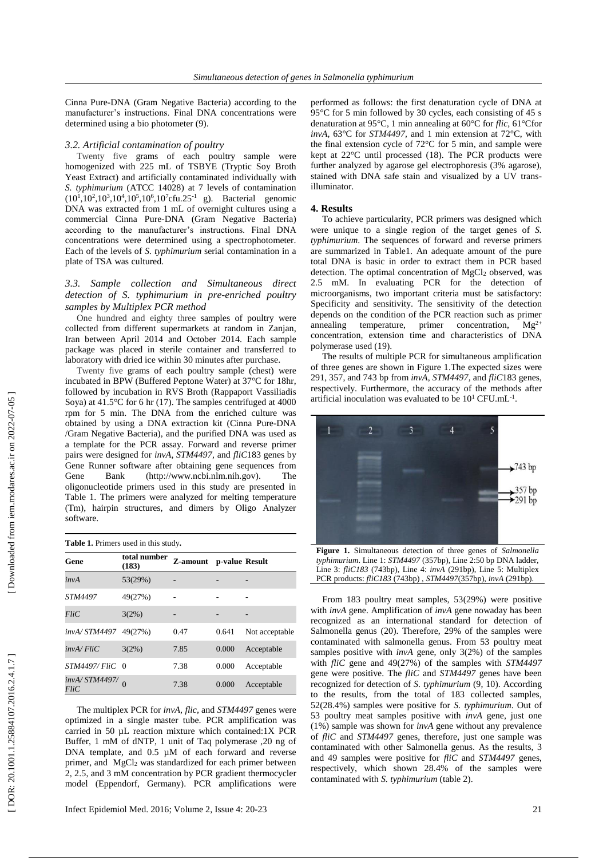Cinna Pure -DNA (Gram Negative Bacteria) according to the manufacturer's instructions. Final DNA concentrations were determined using a bio photometer ( 9).

### *3. 2 . Artificial contamination of poultry*

Twenty five grams of each poultry sample were homogenized with 225 m L of TSBYE (Tryptic Soy Broth Yeast Extract ) and artificially contaminated individually with *S . typhimurium* (ATCC 14028) at 7 levels of contamination  $(10^1, 10^2, 10^3, 10^4, 10^5, 10^6, 10^7$ cfu.25<sup>-1</sup> g). Bacterial genomic DNA was extracted from 1 m L of overnight cultures using a commercial Cinna Pure -DNA (Gram Negative Bacteria) according to the manufacturer's instructions. Final DNA concentrations were determined using a spectrophotometer. Each of the levels of *S . typhimurium* serial contamination in a plate of TSA was cultured.

## *3. 3 . Sample collection and Simultaneous direct detection of S . typhimurium in pre -enriched poultry samples by Multiplex PCR method*

One hundred and eighty three samples of poultry were collected from different supermarkets at random in Zanjan, Iran between April 201 4 and October 201 4. Each sample package was placed in sterile container and transferred to laboratory with dried ice within 30 minutes after purchase .

Twenty five gram s of each poultry sample (chest) were incubated in B PW ( B uffered Pep tone Water) at 37°C for 18h r, followed by incubation in RVS Broth (Rappaport Vassiliadis Soya) at 41.5°C for 6 hr (17). The samples centrifuged at 4000 rpm for 5 min . The DNA from the enriched culture was obtained by using a DNA extraction kit (Cinna Pure -DNA /Gram Negative Bacteria) , and the purified DNA was used as a template for the PCR assay . Forward and reverse primer pairs were designed for *invA* , *STM4497,* and *fliC*183 genes by Gene Runner software after obtaining gene sequences from Gene Bank [\(http://www.ncbi.nlm.nih.gov\)](http://www.ncbi.nlm.nih.gov/). The oligonucleotide primers used in this study are presented in Table 1. The primers were analyzed for melting temperature (Tm), hairpin structures, and dimers by Oligo Analyzer software.

| Table 1. Primers used in this study |
|-------------------------------------|
|                                     |

| <b>Table 1.</b> Primers used in this study.       |                       |          |                |                |  |  |
|---------------------------------------------------|-----------------------|----------|----------------|----------------|--|--|
| Gene                                              | total number<br>(183) | Z-amount | p-value Result |                |  |  |
| invA                                              | 53(29%)               |          |                |                |  |  |
| <i>STM4497</i>                                    | 49(27%)               |          |                |                |  |  |
| FliC                                              | $3(2\%)$              | -        |                |                |  |  |
| invA/ STM4497                                     | 49(27%)               | 0.47     | 0.641          | Not acceptable |  |  |
| invA/FliC                                         | 3(2%)                 | 7.85     | 0.000          | Acceptable     |  |  |
| STM4497/FliC 0                                    |                       | 7.38     | 0.000          | Acceptable     |  |  |
| $\frac{1}{2}$ invA/STM4497/ $\frac{0}{0}$<br>FliC |                       | 7.38     | 0.000          | Acceptable     |  |  |

The multiplex PCR for *invA*, *flic ,* and *STM4497* genes were optimized in a single master tube. PCR amplification was carried in 50 µ L reaction mixture which contained:1X PCR Buffer, 1 mM of dNTP, 1 unit of Taq polymerase ,20 ng of DNA template, and  $0.5 \mu M$  of each forward and reverse primer , and MgCl <sup>2</sup> was standardized for each primer between 2, 2.5 , and 3 mM concentration by PCR gradient thermocycler model (Eppendorf, Germany) . PCR amplifications were

Infect Epidemiol Med. 2016; Volume 2, Issue 4: 20 -23 21

performed as follows: the first denaturation cycle of DNA at 95 °C for 5 min followed by 30 cycles, each consisting of 45 s denaturation at 95°C, 1 min annealing at 60°C for *flic ,* 61°Cfor *invA ,* 63°C for *STM4497,* and 1 min extension at 72°C, with the final extension cycle of 72°C for 5 min , and sample were kept at 22°C until processed ( 1 8). The PCR products were further analyzed by agarose gel electrophoresis (3% agarose), stained with DNA safe stain and visualized by a UV trans illuminator.

#### **4. Results**

To achieve particularity, PCR primers was designed which were unique to a single region of the target genes of S. *typhimurium*. The sequences of forward and reverse primers are summarized in Table1. An adequate amount of the pure total DNA is basic in order to extract them in PCR based detection. The optimal concentration of MgCl <sup>2</sup> observed , was 2.5 mM. In evaluating PCR for the detection of microorganisms, two important criteria must be satisfactory: Specificity and sensitivity. The sensitivity of the detection depends on the condition of the PCR reaction such as primer annealing temperature, primer concentration,  $Mg^{2+}$ concentration, extension time and characteristics of DNA polymerase used (1 9).

The results of multiple PCR for simultaneous amplification of three genes are shown in Figure 1.The expected sizes were 291, 357 , and 743 bp from *invA*, *STM4497,* and *fliC*183 genes , respectively. Furthermore , the accuracy of the methods after artificial inoculation was evaluated to be  $10^1$  CFU.mL<sup>-1</sup>.



**Figure 1.** Simultaneous detection of three genes of *Salmonella typhimurium*. Line 1: *STM4497* (357bp), Line 2:50 bp DNA ladder, Line 3: *fliC183* (743bp), Line 4: *invA* (291bp), Line 5: Multiplex PCR products: *fliC183* (743bp) , *STM4497*(357bp), *invA* (291bp).

From 183 poultry meat samples, 53(29%) were positive with *invA* gene . Amplification of *invA* gene nowaday has been recognized as an international standard for detection of Salmonella genus (20). Therefore, 29% of the samples were contaminated with salmonella genus. From 53 poultry meat samples positive with *invA* gene , only 3( 2%) of the samples with *fliC* gene and 49(27%) of the samples with *STM4497*  gene were positive. The *fliC* and *STM4497* genes have been recognized for detection of *S . typhimurium* ( 9, 10) . According to the results, from the total of 183 collected samples, 52(28.4%) samples were positive for *S . typhimurium* . Out of 53 poultry meat samples positive with *invA* gene, just one (1%) sample was shown for *invA* gene without any prevalence of *fliC* and *STM4497* genes , therefore , just one sample was contaminated with other Salmonella genus. As the results, 3 and 49 samples were positive for *fliC* and *STM4497* genes , respectively, which shown 28.4% of the samples were contaminated with *S . typhimurium* (table 2) .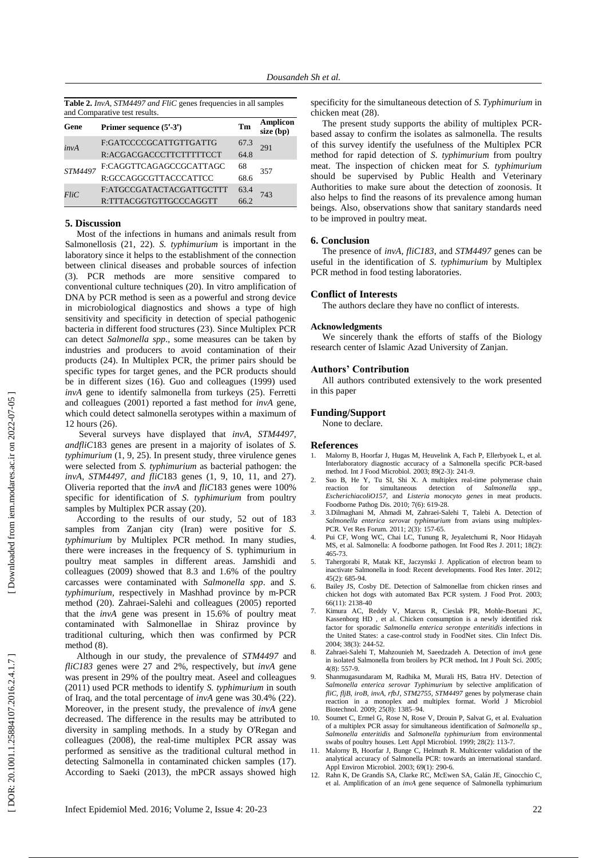**Table 2.** *InvA, STM4497 and FliC* genes frequencies in all samples and Comparative test results .

| Gene    | Primer sequence (5'-3')  | Tm   | Amplicon<br>size (bp) |  |  |
|---------|--------------------------|------|-----------------------|--|--|
| invA    | F:GATCCCCGCATTGTTGATTG   | 67.3 | 291                   |  |  |
|         | R:ACGACGACCCTTCTTTTTCCT  | 64.8 |                       |  |  |
| STM4497 | F:CAGGTTCAGAGCCGCATTAGC  | 68   | 357                   |  |  |
|         | R:GCCAGGCGTTACCCATTCC    | 68.6 |                       |  |  |
| FliC    | F:ATGCCGATACTACGATTGCTTT | 63.4 | 743                   |  |  |
|         | R:TTTACGGTGTTGCCCAGGTT   | 66.2 |                       |  |  |
|         |                          |      |                       |  |  |

#### **5. Discussion**

Most of the infections in humans and animals result from Salmonellosis ( 2 1, 2 2). *S. typhimurium* is important in the laboratory since it helps to the establishment of the connection between clinical diseases and probable sources of infection (3). PCR methods are more sensitive compared to conventional culture techniques (20 ) . In vitro amplification of DNA by PCR method is seen as a powerful and strong device in microbiological diagnostics and shows a type of high sensitivity and specificity in detection of special pathogenic bacteria in different food structures ( 2 3). Since Multiplex PCR can detect *Salmonella spp* . , some measures can be taken by industries and producers to avoid contamination of their products ( 2 4). In Multiplex PCR, the primer pairs should be specific types for target genes , and the PCR products should be in different sizes ( 1 6 ) . Guo and colleagues (1999) used invA gene to identify salmonella from turkeys (25). Ferretti and colleagues (2001) reported a fast method for *invA* gene, which could detect salmonella serotypes within a maximum of 12 hours (26).

Several surveys have displayed that *invA, STM4497, andfliC*183 genes are present in a majority of isolates of *S.* typhimurium  $(1, 9, 25)$ . In present study, three virulence genes were selected from *S. typhimurium* as bacterial pathogen: the *invA, STM4497, and fliC183* genes (1, 9, 10, 11, and 27). Oliveria reported that the *invA* and *fliC*183 gene s were 100% specific for identification of *S. typhimurium* from poultry samples by Multiplex PCR assay (20).

According to the results of our study, 5 2 out of 183 samples from Zanjan city (Iran) were positive for *S . typhimurium* by Multiplex PCR method. In many studies, there were increases in the frequency of S. typhimurium in poultry meat samples in different areas. Jamshidi and colleagues (2009) showed that 8.3 and 1.6% of the poultry carcasses were contaminated with *Salmonella spp* . and *S.*  typhimurium, respectively in Mashhad province by m-PCR method (20 ) . Zahraei -Salehi and colleagues (2005) reported that the *invA* gene was present in 15.6% of poultry meat contaminated with Salmonellae in Shiraz province by traditional culturing , which then was confirmed by PCR method (8).

Although in our study, the prevalence of *STM4497* and *fliC183* gene s were 27 and 2 % , respectively , but *invA* gene was present in 29% of the poultry meat. Aseel and colleagues (2011) used PCR methods to identify *S. typhimurium* in south of Iraq, and the total percentage of *invA* gene was 30.4% (22). Moreover, in the present study, the prevalence of *invA* gene decreased . The difference in the results may be attributed to diversity in sampling method s. In a study by O'Regan and colleagues (200 8 ) , the real -time multiplex PCR assay was performed as sensitive as the traditional cultural method in detecting Salmonella in contaminated chicken samples (17). According to Saeki (2013), the mPCR assays showed high specificity for the simultaneous detection of *S. Typhimurium* in chicken meat (28 ) .

The present study supports the ability of multiplex PCR based assay to confirm the isolates as salmonella. The results of this survey identify the usefulness of the Multiplex PCR method for rapid detection of *S . typhimurium* from poultry meat. The inspection of chicken meat for *S. typhimurium* should be supervised by Public Health and Veterinary Authorities to make sure about the detection of zoonosis. It also helps to find the reasons of its prevalence among human beings. Also , observations show that sanitary standards need to be improved in poultry meat.

#### **6. Conclusion**

The presence of *invA*, *fliC183* , and *STM4497* gene s can be useful in the identification of *S . typhimurium* by Multiplex PCR method in food testing laboratories.

### **Conflict of Interests**

The authors declare they have no conflict of interests.

#### **Acknowledgments**

We sincerely thank the efforts of staff s of the Biology research center of Islamic Azad University of Zanjan .

#### **Authors' Contribution**

All authors contributed extensively to the work presented in this paper

## **Funding/Support**

None to declare.

#### **References**

- 1. Malorny B, Hoorfar J, Hugas M, Heuvelink A, Fach P, Ellerbyoek L, et al. Interlaboratory diagnostic accuracy of a Salmonella specific PCR -based method. Int J Food Microbiol. 2003; 89(2 -3): 241 -9.
- 2. [Suo B,](http://www.ncbi.nlm.nih.gov/pubmed/?term=Suo%20B%5BAuthor%5D&cauthor=true&cauthor_uid=20113204) [He Y,](http://www.ncbi.nlm.nih.gov/pubmed/?term=He%20Y%5BAuthor%5D&cauthor=true&cauthor_uid=20113204) [Tu SI,](http://www.ncbi.nlm.nih.gov/pubmed/?term=Tu%20SI%5BAuthor%5D&cauthor=true&cauthor_uid=20113204) [Shi X.](http://www.ncbi.nlm.nih.gov/pubmed/?term=Shi%20X%5BAuthor%5D&cauthor=true&cauthor_uid=20113204) A multiplex real -time polymerase chain reaction for simultaneous detection of *Salmonella spp*., *EscherichiacoliO157*, and *Listeria monocyto genes* in meat products. Foodborne Pathog Dis. 2010; 7(6): 619 -28.
- *3.* 3 .Dilmaghani M, Ahmadi M, Zahraei -Salehi T, Talebi A. Detection of *Salmonella enterica serov*ar *typhimurium* from avians using multiplex - PCR. Vet Res Forum. 2011; 2(3): 157 -65.
- 4. Pui CF, Wong WC, Chai LC, Tunung R, Jeyaletchumi R, Noor Hidayah MS, et al. Salmonella: A foodborne pathogen. Int Food Res J. 2011; 18(2) : 465 -73.
- 5. Tahergorabi R, Matak KE, Jaczynski J. Application of electron beam to inactivate Salmonella in food: Recent developments. Food Res Inter. 2012; 45(2): 685 -94.
- 6. Bailey JS, Cosby DE. Detection of Salmonellae from chicken rinses and chicken hot dogs with automated Bax PCR system. [J Food Prot.](http://www.ncbi.nlm.nih.gov/pubmed/14627295) 2003; 66(11): 2138 -40
- 7. [Kimura AC,](http://www.ncbi.nlm.nih.gov/pubmed/?term=Kimura%20AC%5BAuthor%5D&cauthor=true&cauthor_uid=15095196) [Reddy V,](http://www.ncbi.nlm.nih.gov/pubmed/?term=Reddy%20V%5BAuthor%5D&cauthor=true&cauthor_uid=15095196) [Marcus R,](http://www.ncbi.nlm.nih.gov/pubmed/?term=Marcus%20R%5BAuthor%5D&cauthor=true&cauthor_uid=15095196) [Cieslak PR,](http://www.ncbi.nlm.nih.gov/pubmed/?term=Cieslak%20PR%5BAuthor%5D&cauthor=true&cauthor_uid=15095196) Mohle [-Boetani JC,](http://www.ncbi.nlm.nih.gov/pubmed/?term=Mohle-Boetani%20JC%5BAuthor%5D&cauthor=true&cauthor_uid=15095196)  [Kassenborg HD](http://www.ncbi.nlm.nih.gov/pubmed/?term=Kassenborg%20HD%5BAuthor%5D&cauthor=true&cauthor_uid=15095196) , et al . Chicken consumption is a newly identified risk factor for sporadic *Salmonella enterica serotype enteritidis* infections in the United States: a case -control study in FoodNet sites. [Clin Infect Dis.](http://www.ncbi.nlm.nih.gov/pubmed/15095196) 2004; 38(3): 244 -52.
- 8. Zahraei -Salehi T, Mahzounieh M, Saeedzadeh A. Detection of *invA* gene in isolated Salmonella from broilers by PCR method**.** Int J Poult Sci. 2005; 4(8): 557 -9.
- 9. Shanmugasundaram M, Radhika M, Murali HS, Batra HV. Detection of *Salmonella enterica serovar Typhimurium* by selective amplification of *fliC, fljB, iroB, invA, rfbJ*, *STM2755*, *STM4497* genes by polymerase chain reaction in a monoplex and multiplex format. World J Microbiol Biotechnol. 2009; 25(8) : 1385 –94.
- 10. Soumet C, Ermel G, Rose N, Rose V, Drouin P, Salvat G, et al. Evaluation of a multiplex PCR assay for simultaneous identification of *Salmonella sp*., *Salmonella enteritidis* and *Salmonella typhimurium* from environmental swabs of poultry houses. Lett Appl Microbiol. 1999; 28(2): 113 -7.
- 11. [Malorny B,](http://www.ncbi.nlm.nih.gov/pubmed/?term=Malorny%20B%5BAuthor%5D&cauthor=true&cauthor_uid=12514007) [Hoorfar J,](http://www.ncbi.nlm.nih.gov/pubmed/?term=Hoorfar%20J%5BAuthor%5D&cauthor=true&cauthor_uid=12514007) [Bunge C,](http://www.ncbi.nlm.nih.gov/pubmed/?term=Bunge%20C%5BAuthor%5D&cauthor=true&cauthor_uid=12514007) [Helmuth R.](http://www.ncbi.nlm.nih.gov/pubmed/?term=Helmuth%20R%5BAuthor%5D&cauthor=true&cauthor_uid=12514007) Multicenter validation of the analytical accuracy of Salmonella PCR: towards an international standard . [Appl Environ Microbiol.](http://www.ncbi.nlm.nih.gov/pubmed/12514007) 2003; 69(1): 290 -6.
- 12. [Rahn K,](http://www.ncbi.nlm.nih.gov/pubmed/?term=Rahn%20K%5BAuthor%5D&cauthor=true&cauthor_uid=1528198) [De Grandis SA,](http://www.ncbi.nlm.nih.gov/pubmed/?term=De%20Grandis%20SA%5BAuthor%5D&cauthor=true&cauthor_uid=1528198) [Clarke RC,](http://www.ncbi.nlm.nih.gov/pubmed/?term=Clarke%20RC%5BAuthor%5D&cauthor=true&cauthor_uid=1528198) [McEwen SA,](http://www.ncbi.nlm.nih.gov/pubmed/?term=McEwen%20SA%5BAuthor%5D&cauthor=true&cauthor_uid=1528198) [Galán JE,](http://www.ncbi.nlm.nih.gov/pubmed/?term=Gal%C3%A1n%20JE%5BAuthor%5D&cauthor=true&cauthor_uid=1528198) [Ginocchio C,](http://www.ncbi.nlm.nih.gov/pubmed/?term=Ginocchio%20C%5BAuthor%5D&cauthor=true&cauthor_uid=1528198)  et al . Amplification of an *invA* gene sequence of Salmonella typhimurium